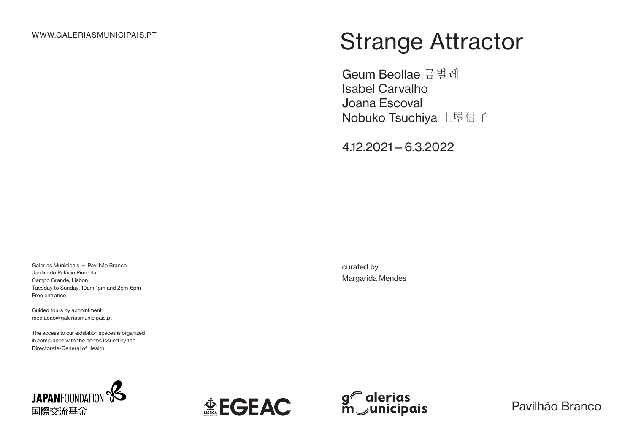# Strange Attractor

Geum Beollae 금벌레 Isabel Carvalho Joana Escoval Nobuko Tsuchiya 土屋信子

4.12.2021—6.3.2022

Galerias Municipais — Pavilhão Branco Jardim do Palácio Pimenta Campo Grande, Lisbon Tuesday to Sunday: 10am-1pm and 2pm-6pm Free entrance

Guided tours by appointment mediacao@galeriasmunicipais.pt

The access to our exhibition spaces is organized in compliance with the norms issued by the Directorate-General of Health.







Pavilhão Branco

curated by Margarida Mendes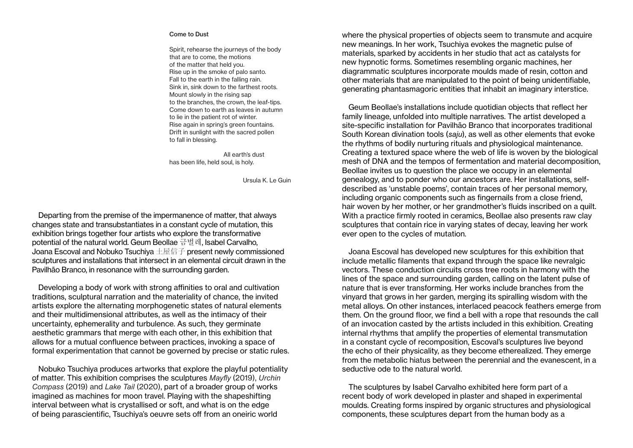#### Come to Dust

Spirit, rehearse the journeys of the body that are to come, the motions of the matter that held you. Rise up in the smoke of palo santo. Fall to the earth in the falling rain. Sink in, sink down to the farthest roots. Mount slowly in the rising sap to the branches, the crown, the leaf-tips. Come down to earth as leaves in autumn to lie in the patient rot of winter. Rise again in spring's green fountains. Drift in sunlight with the sacred pollen to fall in blessing.

All earth's dust has been life, held soul, is holy.

Ursula K. Le Guin

Departing from the premise of the impermanence of matter, that always changes state and transubstantiates in a constant cycle of mutation, this exhibition brings together four artists who explore the transformative potential of the natural world. Geum Beollae 금벌레, Isabel Carvalho, Joana Escoval and Nobuko Tsuchiva  $+ \mathbb{R}$ 信子 present newly commissioned sculptures and installations that intersect in an elemental circuit drawn in the Pavilhão Branco, in resonance with the surrounding garden.

Developing a body of work with strong affinities to oral and cultivation traditions, sculptural narration and the materiality of chance, the invited artists explore the alternating morphogenetic states of natural elements and their multidimensional attributes, as well as the intimacy of their uncertainty, ephemerality and turbulence. As such, they germinate aesthetic grammars that merge with each other, in this exhibition that allows for a mutual confluence between practices, invoking a space of formal experimentation that cannot be governed by precise or static rules.

Nobuko Tsuchiya produces artworks that explore the playful potentiality of matter. This exhibition comprises the sculptures *Mayfly* (2019), *Urchin Compass* (2019) and *Lake Tail* (2020), part of a broader group of works imagined as machines for moon travel. Playing with the shapeshifting interval between what is crystallised or soft, and what is on the edge of being parascientific, Tsuchiya's oeuvre sets off from an oneiric world

where the physical properties of objects seem to transmute and acquire new meanings. In her work, Tsuchiya evokes the magnetic pulse of materials, sparked by accidents in her studio that act as catalysts for new hypnotic forms. Sometimes resembling organic machines, her diagrammatic sculptures incorporate moulds made of resin, cotton and other materials that are manipulated to the point of being unidentifiable, generating phantasmagoric entities that inhabit an imaginary interstice.

Geum Beollae's installations include quotidian objects that reflect her family lineage, unfolded into multiple narratives. The artist developed a site-specific installation for Pavilhão Branco that incorporates traditional South Korean divination tools (*saju*), as well as other elements that evoke the rhythms of bodily nurturing rituals and physiological maintenance. Creating a textured space where the web of life is woven by the biological mesh of DNA and the tempos of fermentation and material decomposition, Beollae invites us to question the place we occupy in an elemental genealogy, and to ponder who our ancestors are. Her installations, selfdescribed as 'unstable poems', contain traces of her personal memory, including organic components such as fingernails from a close friend, hair woven by her mother, or her grandmother's fluids inscribed on a quilt. With a practice firmly rooted in ceramics, Beollae also presents raw clay sculptures that contain rice in varying states of decay, leaving her work ever open to the cycles of mutation.

Joana Escoval has developed new sculptures for this exhibition that include metallic filaments that expand through the space like nevralgic vectors. These conduction circuits cross tree roots in harmony with the lines of the space and surrounding garden, calling on the latent pulse of nature that is ever transforming. Her works include branches from the vinyard that grows in her garden, merging its spiralling wisdom with the metal alloys. On other instances, interlaced peacock feathers emerge from them. On the ground floor, we find a bell with a rope that resounds the call of an invocation casted by the artists included in this exhibition. Creating internal rhythms that amplify the properties of elemental transmutation in a constant cycle of recomposition, Escoval's sculptures live beyond the echo of their physicality, as they become etherealized. They emerge from the metabolic hiatus between the perennial and the evanescent, in a seductive ode to the natural world.

The sculptures by Isabel Carvalho exhibited here form part of a recent body of work developed in plaster and shaped in experimental moulds. Creating forms inspired by organic structures and physiological components, these sculptures depart from the human body as a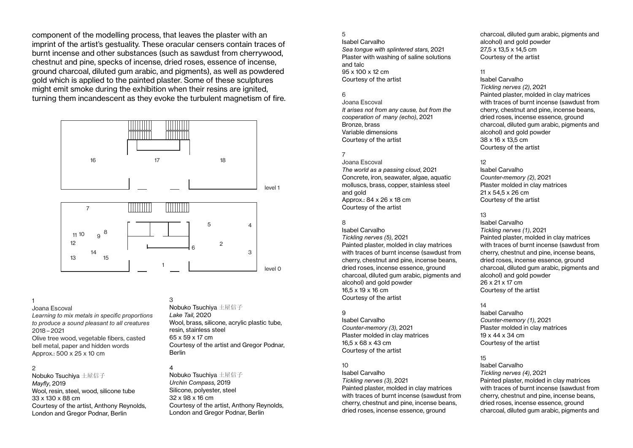component of the modelling process, that leaves the plaster with an imprint of the artist's gestuality. These oracular censers contain traces of burnt incense and other substances (such as sawdust from cherrywood, chestnut and pine, specks of incense, dried roses, essence of incense, ground charcoal, diluted gum arabic, and pigments), as well as powdered gold which is applied to the painted plaster. Some of these sculptures might emit smoke during the exhibition when their resins are ignited, turning them incandescent as they evoke the turbulent magnetism of fire.





# 1

#### Joana Escoval

*Learning to mix metals in specific proportions to produce a sound pleasant to all creatures*  2018 – 2021

Olive tree wood, vegetable fibers, casted bell metal, paper and hidden words Approx.: 500 x 25 x 10 cm

#### 2

Nobuko Tsuchiya 土屋信子 *Mayfly*, 2019 Wool, resin, steel, wood, silicone tube 33 x 130 x 88 cm Courtesy of the artist, Anthony Reynolds, London and Gregor Podnar, Berlin

# 3

Nobuko Tsuchiya 土屋信子 *Lake Tail*, 2020 Wool, brass, silicone, acrylic plastic tube, resin, stainless steel 65 x 59 x 17 cm Courtesy of the artist and Gregor Podnar, Berlin

# 4

Nobuko Tsuchiya 土屋信子 *Urchin Compass*, 2019 Silicone, polyester, steel 32 x 98 x 16 cm Courtesy of the artist, Anthony Reynolds, London and Gregor Podnar, Berlin

#### 5

Isabel Carvalho *Sea tongue with splintered stars*, 2021 Plaster with washing of saline solutions and talc 95 x 100 x 12 cm Courtesy of the artist

## 6

Joana Escoval *It arises not from any cause, but from the cooperation of many (echo)*, 2021 Bronze, brass Variable dimensions Courtesy of the artist

## 7

Joana Escoval *The world as a passing cloud*, 2021 Concrete, iron, seawater, algae, aquatic molluscs, brass, copper, stainless steel and gold Approx.: 84 x 26 x 18 cm Courtesy of the artist

#### 8

Isabel Carvalho *Tickling nerves (5)*, 2021 Painted plaster, molded in clay matrices with traces of burnt incense (sawdust from cherry, chestnut and pine, incense beans, dried roses, incense essence, ground charcoal, diluted gum arabic, pigments and alcohol) and gold powder 16,5 x 19 x 16 cm Courtesy of the artist

#### 9

Isabel Carvalho *Counter-memory (3)*, 2021 Plaster molded in clay matrices 16,5 x 68 x 43 cm Courtesy of the artist

## $10$

Isabel Carvalho *Tickling nerves (3)*, 2021 Painted plaster, molded in clay matrices with traces of burnt incense (sawdust from cherry, chestnut and pine, incense beans, dried roses, incense essence, ground

charcoal, diluted gum arabic, pigments and alcohol) and gold powder 27,5 x 13,5 x 14,5 cm Courtesy of the artist

#### 11

Isabel Carvalho *Tickling nerves (2)*, 2021 Painted plaster, molded in clay matrices with traces of burnt incense (sawdust from cherry, chestnut and pine, incense beans, dried roses, incense essence, ground charcoal, diluted gum arabic, pigments and alcohol) and gold powder 38 x 16 x 13,5 cm Courtesy of the artist

### 12

Isabel Carvalho *Counter-memory (2)*, 2021 Plaster molded in clay matrices 21 x 54,5 x 26 cm Courtesy of the artist

## 13

Isabel Carvalho *Tickling nerves (1)*, 2021 Painted plaster, molded in clay matrices with traces of burnt incense (sawdust from cherry, chestnut and pine, incense beans, dried roses, incense essence, ground charcoal, diluted gum arabic, pigments and alcohol) and gold powder 26 x 21 x 17 cm Courtesy of the artist

## $14$

Isabel Carvalho *Counter-memory (1)*, 2021 Plaster molded in clay matrices 19 x 44 x 34 cm Courtesy of the artist

## 15

Isabel Carvalho *Tickling nerves (4)*, 2021 Painted plaster, molded in clay matrices with traces of burnt incense (sawdust from cherry, chestnut and pine, incense beans, dried roses, incense essence, ground charcoal, diluted gum arabic, pigments and